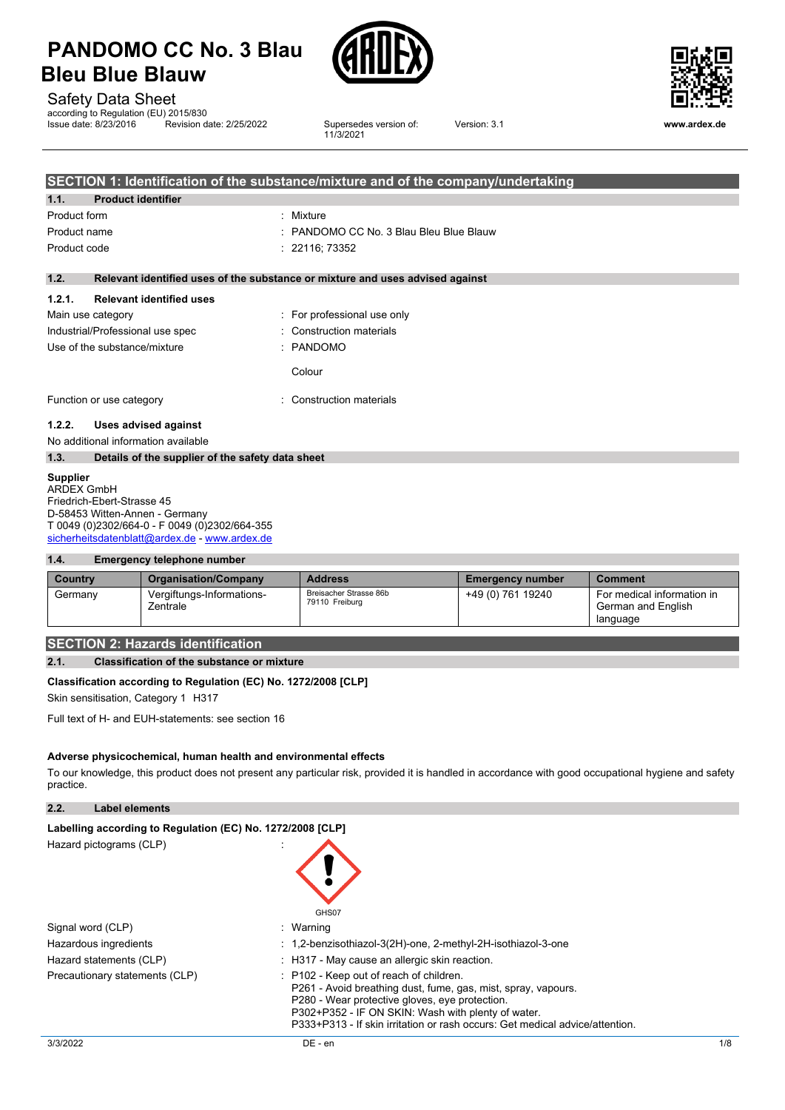



11/3/2021

Safety Data Sheet

according to Regulation (EU) 2015/830<br>Issue date: 8/23/2016 Revision d  $R$ evision date: 2/25/2022 Supersedes version of:



Version: 3.1 **www.ardex.de**

|                              |                                                             | SECTION 1: Identification of the substance/mixture and of the company/undertaking |
|------------------------------|-------------------------------------------------------------|-----------------------------------------------------------------------------------|
| 1.1.                         | <b>Product identifier</b>                                   |                                                                                   |
| Product form                 |                                                             | : Mixture                                                                         |
| Product name                 |                                                             | : PANDOMO CC No. 3 Blau Bleu Blue Blauw                                           |
| Product code                 |                                                             | : 22116; 73352                                                                    |
| 1.2.                         |                                                             | Relevant identified uses of the substance or mixture and uses advised against     |
| 1.2.1.                       | <b>Relevant identified uses</b>                             |                                                                                   |
|                              | Main use category                                           | : For professional use only                                                       |
|                              | Industrial/Professional use spec                            | : Construction materials                                                          |
| Use of the substance/mixture |                                                             | : PANDOMO                                                                         |
|                              |                                                             | Colour                                                                            |
|                              | Function or use category                                    | : Construction materials                                                          |
| 1.2.2.                       | Uses advised against<br>No additional information available |                                                                                   |

#### **Supplier**

ARDEX GmbH Friedrich-Ebert-Strasse 45 D-58453 Witten-Annen - Germany T 0049 (0)2302/664-0 - F 0049 (0)2302/664-355 [sicherheitsdatenblatt@ardex.de](mailto:sicherheitsdatenblatt@ardex.de) - [www.ardex.de](http://www.ardex.de/)

**1.3. Details of the supplier of the safety data sheet**

#### **1.4. Emergency telephone number**

| Country | <b>Organisation/Company</b>           | <b>Address</b>                           | <b>Emergency number</b> | <b>Comment</b>                                               |
|---------|---------------------------------------|------------------------------------------|-------------------------|--------------------------------------------------------------|
| Germany | Vergiftungs-Informations-<br>Zentrale | Breisacher Strasse 86b<br>79110 Freiburg | +49 (0) 761 19240       | For medical information in<br>German and English<br>language |

#### **SECTION 2: Hazards identification**

#### **2.1. Classification of the substance or mixture**

#### **Classification according to Regulation (EC) No. 1272/2008 [CLP]**

Skin sensitisation, Category 1 H317

Full text of H- and EUH-statements: see section 16

#### **Adverse physicochemical, human health and environmental effects**

To our knowledge, this product does not present any particular risk, provided it is handled in accordance with good occupational hygiene and safety practice.

**2.2. Label elements**

| Labelling according to Regulation (EC) No. 1272/2008 [CLP] |                                                                                                                                                                                                                                                                                                             |
|------------------------------------------------------------|-------------------------------------------------------------------------------------------------------------------------------------------------------------------------------------------------------------------------------------------------------------------------------------------------------------|
| Hazard pictograms (CLP)                                    | GHS07                                                                                                                                                                                                                                                                                                       |
| Signal word (CLP)                                          | : Warning                                                                                                                                                                                                                                                                                                   |
| Hazardous ingredients                                      | $: 1, 2$ -benzisothiazol-3(2H)-one, 2-methyl-2H-isothiazol-3-one                                                                                                                                                                                                                                            |
| Hazard statements (CLP)                                    | : H317 - May cause an allergic skin reaction.                                                                                                                                                                                                                                                               |
| Precautionary statements (CLP)                             | $\therefore$ P102 - Keep out of reach of children.<br>P261 - Avoid breathing dust, fume, gas, mist, spray, vapours.<br>P280 - Wear protective gloves, eve protection.<br>P302+P352 - IF ON SKIN: Wash with plenty of water.<br>P333+P313 - If skin irritation or rash occurs: Get medical advice/attention. |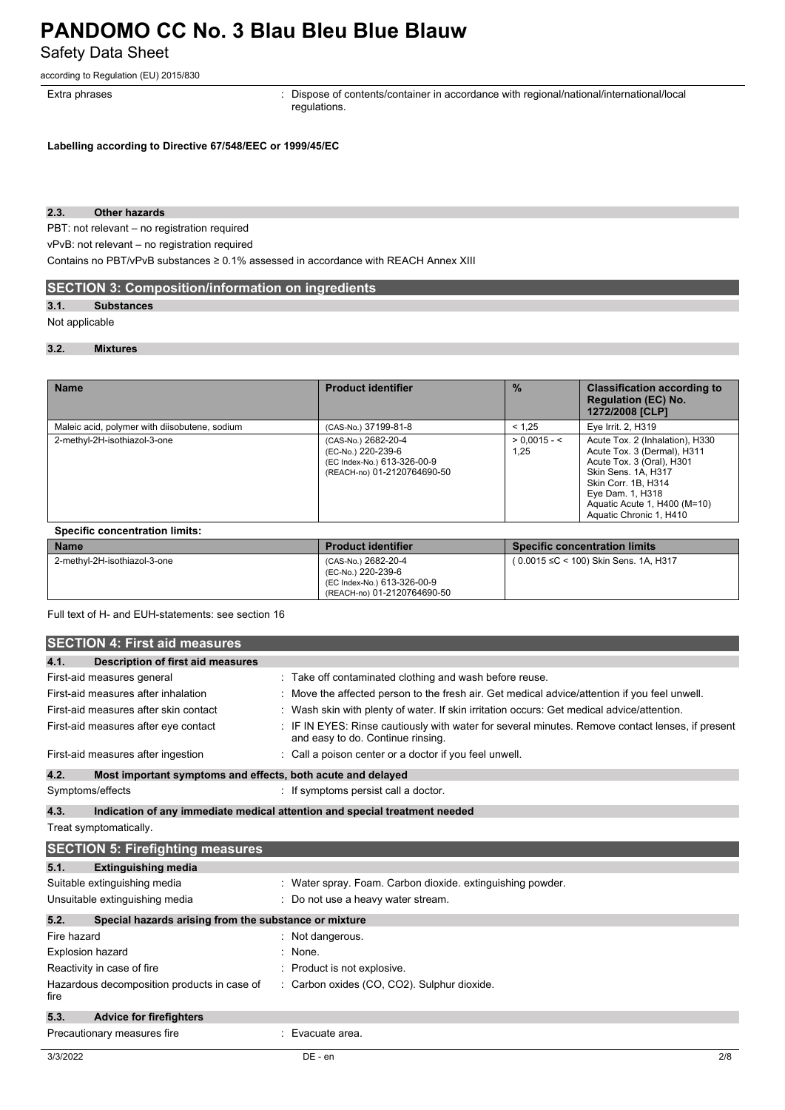Safety Data Sheet

according to Regulation (EU) 2015/830

Extra phrases **in the pharaely contents**: Dispose of contents/container in accordance with regional/national/international/local regulations.

**Labelling according to Directive 67/548/EEC or 1999/45/EC**

#### **2.3. Other hazards**

PBT: not relevant – no registration required

vPvB: not relevant – no registration required

Contains no PBT/vPvB substances ≥ 0.1% assessed in accordance with REACH Annex XIII

### **SECTION 3: Composition/information on ingredients**

#### **3.1. Substances**

#### Not applicable

#### **3.2. Mixtures**

| <b>Name</b>                                   | <b>Product identifier</b>                                                                               | $\frac{9}{6}$          | <b>Classification according to</b><br><b>Regulation (EC) No.</b><br>1272/2008 [CLP]                                                                                                                                      |
|-----------------------------------------------|---------------------------------------------------------------------------------------------------------|------------------------|--------------------------------------------------------------------------------------------------------------------------------------------------------------------------------------------------------------------------|
| Maleic acid, polymer with diisobutene, sodium | (CAS-No.) 37199-81-8                                                                                    | < 1.25                 | Eye Irrit. 2, H319                                                                                                                                                                                                       |
| 2-methyl-2H-isothiazol-3-one                  | (CAS-No.) 2682-20-4<br>(EC-No.) 220-239-6<br>(EC Index-No.) 613-326-00-9<br>(REACH-no) 01-2120764690-50 | $> 0.0015 - 5$<br>1.25 | Acute Tox. 2 (Inhalation), H330<br>Acute Tox. 3 (Dermal), H311<br>Acute Tox. 3 (Oral), H301<br>Skin Sens. 1A, H317<br>Skin Corr. 1B, H314<br>Eye Dam. 1, H318<br>Aguatic Acute 1, H400 (M=10)<br>Aquatic Chronic 1, H410 |

(EC Index-No.) 613-326-00-9 (REACH-no) 01-2120764690-50

| <b>Name</b>                  | <b>Product identifier</b>                 | Specific concentration limits         |
|------------------------------|-------------------------------------------|---------------------------------------|
| 2-methyl-2H-isothiazol-3-one | (CAS-No.) 2682-20-4<br>(EC-No.) 220-239-6 | (0.0015 ≤C < 100) Skin Sens. 1A, H317 |

Full text of H- and EUH-statements: see section 16

|                         | <b>SECTION 4: First aid measures</b>                        |                                                                                                                                     |
|-------------------------|-------------------------------------------------------------|-------------------------------------------------------------------------------------------------------------------------------------|
| 4.1.                    | <b>Description of first aid measures</b>                    |                                                                                                                                     |
|                         | First-aid measures general                                  | Take off contaminated clothing and wash before reuse.                                                                               |
|                         | First-aid measures after inhalation                         | Move the affected person to the fresh air. Get medical advice/attention if you feel unwell.                                         |
|                         | First-aid measures after skin contact                       | Wash skin with plenty of water. If skin irritation occurs: Get medical advice/attention.                                            |
|                         | First-aid measures after eye contact                        | IF IN EYES: Rinse cautiously with water for several minutes. Remove contact lenses, if present<br>and easy to do. Continue rinsing. |
|                         | First-aid measures after ingestion                          | Call a poison center or a doctor if you feel unwell.                                                                                |
| 4.2.                    | Most important symptoms and effects, both acute and delayed |                                                                                                                                     |
|                         | Symptoms/effects                                            | : If symptoms persist call a doctor.                                                                                                |
| 4.3.                    |                                                             | Indication of any immediate medical attention and special treatment needed                                                          |
|                         | Treat symptomatically.                                      |                                                                                                                                     |
|                         | <b>SECTION 5: Firefighting measures</b>                     |                                                                                                                                     |
| 5.1.                    | <b>Extinguishing media</b>                                  |                                                                                                                                     |
|                         | Suitable extinguishing media                                | Water spray. Foam. Carbon dioxide. extinguishing powder.                                                                            |
|                         | Unsuitable extinguishing media                              | Do not use a heavy water stream.                                                                                                    |
| 5.2.                    | Special hazards arising from the substance or mixture       |                                                                                                                                     |
| Fire hazard             |                                                             | Not dangerous.                                                                                                                      |
| <b>Explosion hazard</b> |                                                             | None.                                                                                                                               |
|                         | Reactivity in case of fire                                  | Product is not explosive.                                                                                                           |
| fire                    | Hazardous decomposition products in case of                 | Carbon oxides (CO, CO2). Sulphur dioxide.                                                                                           |
| 5.3.                    | <b>Advice for firefighters</b>                              |                                                                                                                                     |
|                         | Precautionary measures fire                                 | Evacuate area.                                                                                                                      |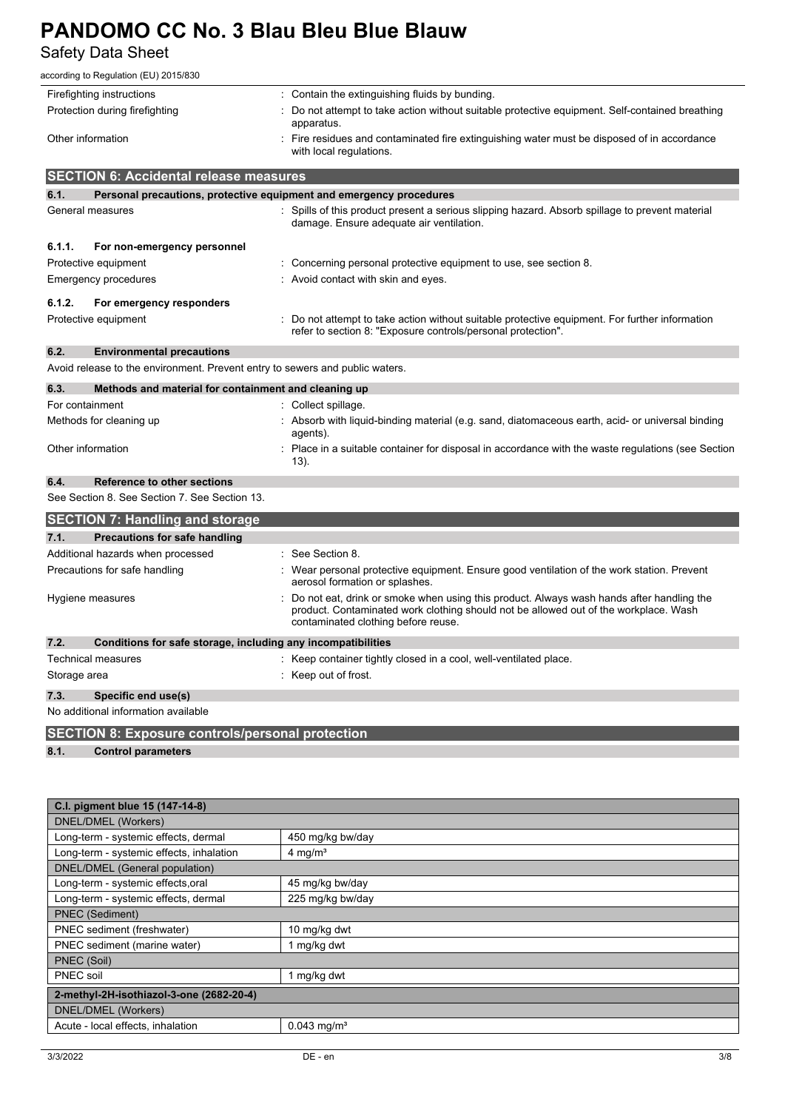Safety Data Sheet

| according to Regulation (EU) 2015/830                                        |                                                                                                                                                                                                                         |  |
|------------------------------------------------------------------------------|-------------------------------------------------------------------------------------------------------------------------------------------------------------------------------------------------------------------------|--|
| Firefighting instructions                                                    | : Contain the extinguishing fluids by bunding.                                                                                                                                                                          |  |
| Protection during firefighting                                               | Do not attempt to take action without suitable protective equipment. Self-contained breathing<br>apparatus.                                                                                                             |  |
| Other information                                                            | : Fire residues and contaminated fire extinguishing water must be disposed of in accordance<br>with local regulations.                                                                                                  |  |
| <b>SECTION 6: Accidental release measures</b>                                |                                                                                                                                                                                                                         |  |
| 6.1.<br>Personal precautions, protective equipment and emergency procedures  |                                                                                                                                                                                                                         |  |
| General measures                                                             | : Spills of this product present a serious slipping hazard. Absorb spillage to prevent material<br>damage. Ensure adequate air ventilation.                                                                             |  |
| 6.1.1.<br>For non-emergency personnel                                        |                                                                                                                                                                                                                         |  |
| Protective equipment                                                         | : Concerning personal protective equipment to use, see section 8.                                                                                                                                                       |  |
| Emergency procedures                                                         | : Avoid contact with skin and eyes.                                                                                                                                                                                     |  |
| 6.1.2.<br>For emergency responders                                           |                                                                                                                                                                                                                         |  |
| Protective equipment                                                         | : Do not attempt to take action without suitable protective equipment. For further information<br>refer to section 8: "Exposure controls/personal protection".                                                          |  |
| 6.2.<br><b>Environmental precautions</b>                                     |                                                                                                                                                                                                                         |  |
| Avoid release to the environment. Prevent entry to sewers and public waters. |                                                                                                                                                                                                                         |  |
| 6.3.<br>Methods and material for containment and cleaning up                 |                                                                                                                                                                                                                         |  |
| For containment                                                              | : Collect spillage.                                                                                                                                                                                                     |  |
| Methods for cleaning up                                                      | : Absorb with liquid-binding material (e.g. sand, diatomaceous earth, acid- or universal binding<br>agents).                                                                                                            |  |
| Other information                                                            | : Place in a suitable container for disposal in accordance with the waste regulations (see Section<br>13).                                                                                                              |  |
| 6.4.<br>Reference to other sections                                          |                                                                                                                                                                                                                         |  |
| See Section 8. See Section 7. See Section 13.                                |                                                                                                                                                                                                                         |  |
| <b>SECTION 7: Handling and storage</b>                                       |                                                                                                                                                                                                                         |  |
| 7.1.<br><b>Precautions for safe handling</b>                                 |                                                                                                                                                                                                                         |  |
| Additional hazards when processed                                            | $\therefore$ See Section 8.                                                                                                                                                                                             |  |
| Precautions for safe handling                                                | : Wear personal protective equipment. Ensure good ventilation of the work station. Prevent<br>aerosol formation or splashes.                                                                                            |  |
| Hygiene measures                                                             | Do not eat, drink or smoke when using this product. Always wash hands after handling the<br>product. Contaminated work clothing should not be allowed out of the workplace. Wash<br>contaminated clothing before reuse. |  |
| 7.2.<br>Conditions for safe storage, including any incompatibilities         |                                                                                                                                                                                                                         |  |
| <b>Technical measures</b>                                                    | : Keep container tightly closed in a cool, well-ventilated place.                                                                                                                                                       |  |
| Storage area                                                                 | : Keep out of frost.                                                                                                                                                                                                    |  |
| 7.3.<br>Specific end use(s)                                                  |                                                                                                                                                                                                                         |  |
| No additional information available                                          |                                                                                                                                                                                                                         |  |
| <b>SECTION 8: Exposure controls/personal protection</b>                      |                                                                                                                                                                                                                         |  |

**8.1. Control parameters**

| C.I. pigment blue 15 (147-14-8)          |                           |  |
|------------------------------------------|---------------------------|--|
| DNEL/DMEL (Workers)                      |                           |  |
| Long-term - systemic effects, dermal     | 450 mg/kg bw/day          |  |
| Long-term - systemic effects, inhalation | $4 \text{ mg/m}^3$        |  |
| DNEL/DMEL (General population)           |                           |  |
| Long-term - systemic effects, oral       | 45 mg/kg bw/day           |  |
| Long-term - systemic effects, dermal     | 225 mg/kg bw/day          |  |
| PNEC (Sediment)                          |                           |  |
| PNEC sediment (freshwater)               | 10 mg/kg dwt              |  |
| PNEC sediment (marine water)             | 1 mg/kg dwt               |  |
| PNEC (Soil)                              |                           |  |
| PNEC soil                                | 1 mg/kg dwt               |  |
| 2-methyl-2H-isothiazol-3-one (2682-20-4) |                           |  |
| DNEL/DMEL (Workers)                      |                           |  |
| Acute - local effects, inhalation        | $0.043$ mg/m <sup>3</sup> |  |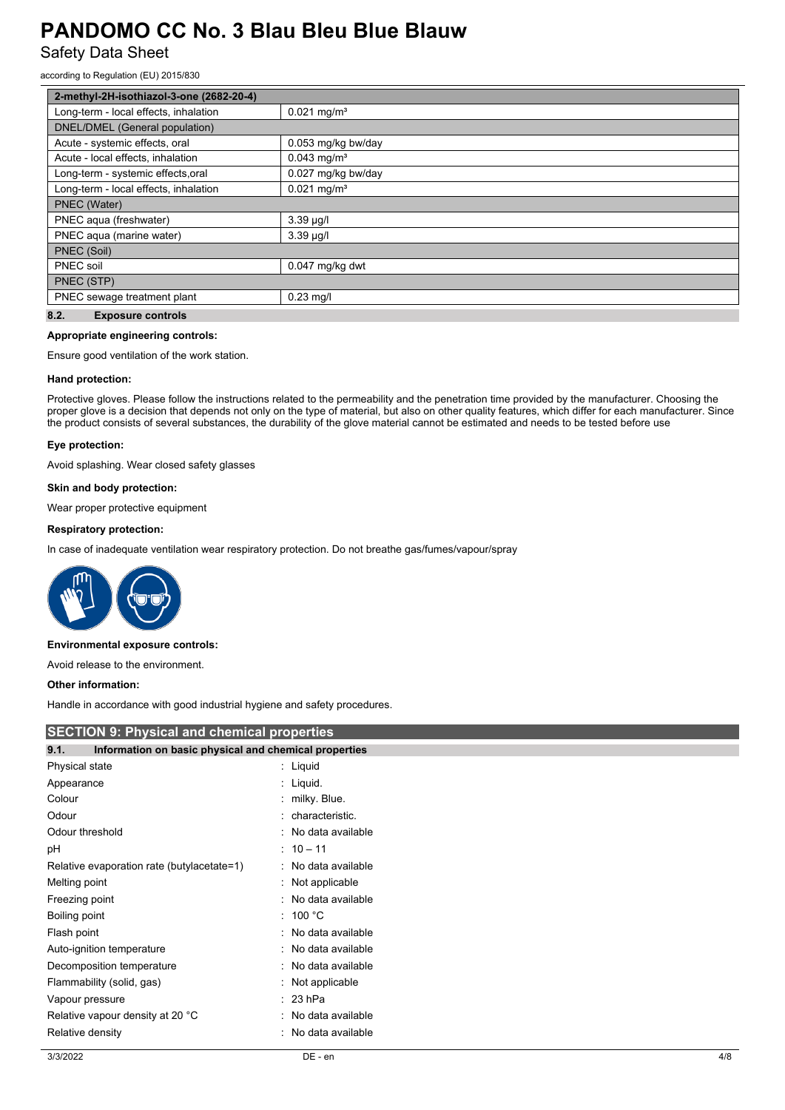Safety Data Sheet

according to Regulation (EU) 2015/830

| 2-methyl-2H-isothiazol-3-one (2682-20-4) |                           |  |
|------------------------------------------|---------------------------|--|
| Long-term - local effects, inhalation    | $0.021$ mg/m <sup>3</sup> |  |
| DNEL/DMEL (General population)           |                           |  |
| Acute - systemic effects, oral           | 0.053 mg/kg bw/day        |  |
| Acute - local effects, inhalation        | $0.043$ mg/m <sup>3</sup> |  |
| Long-term - systemic effects, oral       | 0.027 mg/kg bw/day        |  |
| Long-term - local effects, inhalation    | $0.021$ mg/m <sup>3</sup> |  |
| PNEC (Water)                             |                           |  |
| PNEC aqua (freshwater)                   | $3.39 \mu g/l$            |  |
| PNEC aqua (marine water)                 | $3.39 \mu g/l$            |  |
| PNEC (Soil)                              |                           |  |
| PNEC soil                                | $0.047$ mg/kg dwt         |  |
| PNEC (STP)                               |                           |  |
| PNEC sewage treatment plant              | $0.23$ mg/l               |  |
|                                          |                           |  |

#### **8.2. Exposure controls**

#### **Appropriate engineering controls:**

Ensure good ventilation of the work station.

#### **Hand protection:**

Protective gloves. Please follow the instructions related to the permeability and the penetration time provided by the manufacturer. Choosing the proper glove is a decision that depends not only on the type of material, but also on other quality features, which differ for each manufacturer. Since the product consists of several substances, the durability of the glove material cannot be estimated and needs to be tested before use

#### **Eye protection:**

Avoid splashing. Wear closed safety glasses

#### **Skin and body protection:**

Wear proper protective equipment

#### **Respiratory protection:**

In case of inadequate ventilation wear respiratory protection. Do not breathe gas/fumes/vapour/spray



#### **Environmental exposure controls:**

Avoid release to the environment.

#### **Other information:**

Handle in accordance with good industrial hygiene and safety procedures.

| <b>SECTION 9: Physical and chemical properties</b>            |                     |  |
|---------------------------------------------------------------|---------------------|--|
| 9.1.<br>Information on basic physical and chemical properties |                     |  |
| Physical state                                                | : Liquid            |  |
| Appearance                                                    | $:$ Liquid.         |  |
| Colour                                                        | : milky. Blue.      |  |
| Odour                                                         | : characteristic.   |  |
| Odour threshold                                               | : No data available |  |
| рH                                                            | $: 10 - 11$         |  |
| Relative evaporation rate (butylacetate=1)                    | : No data available |  |
| Melting point                                                 | : Not applicable    |  |
| Freezing point                                                | : No data available |  |
| Boiling point                                                 | : 100 $^{\circ}$ C  |  |
| Flash point                                                   | : No data available |  |
| Auto-ignition temperature                                     | : No data available |  |
| Decomposition temperature                                     | : No data available |  |
| Flammability (solid, gas)                                     | : Not applicable    |  |
| Vapour pressure                                               | $: 23$ hPa          |  |
| Relative vapour density at 20 °C                              | : No data available |  |
| Relative density                                              | : No data available |  |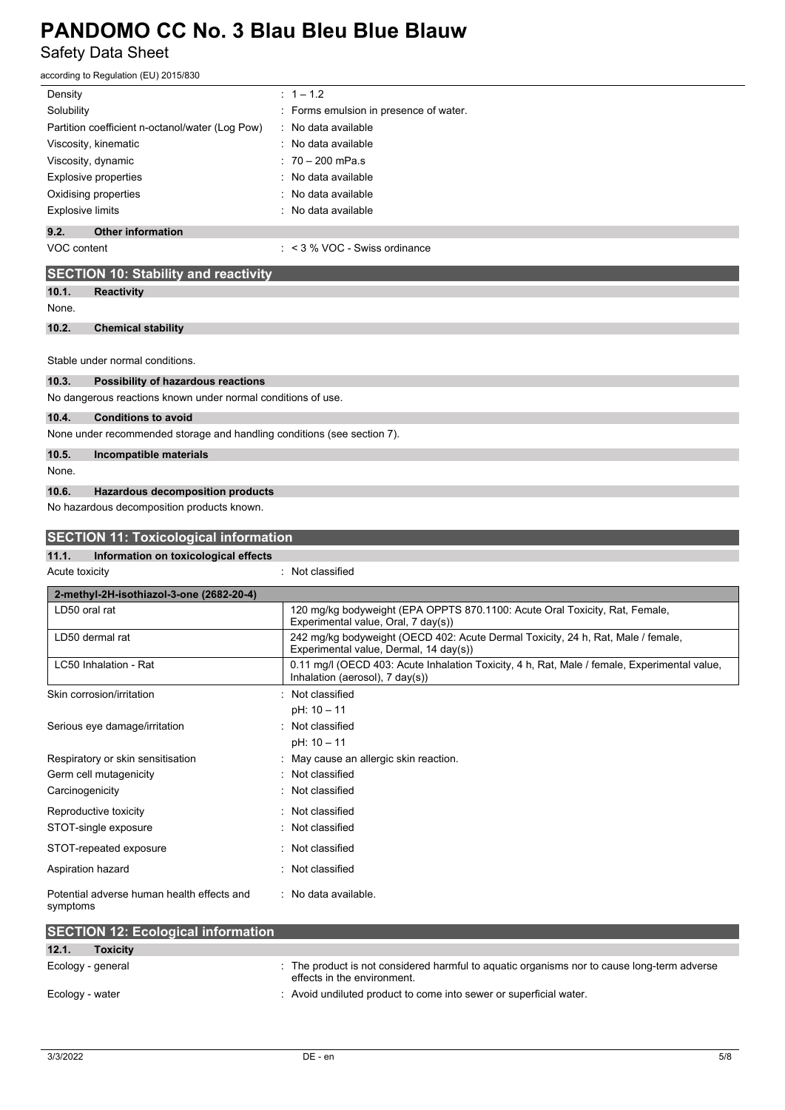Safety Data Sheet

| according to Regulation (EU) 2015/830                                   |                                                                                                                            |  |  |
|-------------------------------------------------------------------------|----------------------------------------------------------------------------------------------------------------------------|--|--|
| Density                                                                 | $: 1 - 1.2$                                                                                                                |  |  |
| Solubility                                                              | : Forms emulsion in presence of water.                                                                                     |  |  |
| Partition coefficient n-octanol/water (Log Pow)                         | No data available                                                                                                          |  |  |
| Viscosity, kinematic                                                    | No data available                                                                                                          |  |  |
| Viscosity, dynamic                                                      | 70 - 200 mPa.s                                                                                                             |  |  |
| <b>Explosive properties</b>                                             | No data available                                                                                                          |  |  |
| Oxidising properties                                                    | No data available                                                                                                          |  |  |
| <b>Explosive limits</b>                                                 | : No data available                                                                                                        |  |  |
| 9.2.<br><b>Other information</b>                                        |                                                                                                                            |  |  |
| VOC content                                                             | $:$ < 3 % VOC - Swiss ordinance                                                                                            |  |  |
| <b>SECTION 10: Stability and reactivity</b>                             |                                                                                                                            |  |  |
| 10.1.<br><b>Reactivity</b>                                              |                                                                                                                            |  |  |
| None.                                                                   |                                                                                                                            |  |  |
| 10.2.<br><b>Chemical stability</b>                                      |                                                                                                                            |  |  |
|                                                                         |                                                                                                                            |  |  |
| Stable under normal conditions.                                         |                                                                                                                            |  |  |
| 10.3.<br>Possibility of hazardous reactions                             |                                                                                                                            |  |  |
| No dangerous reactions known under normal conditions of use.            |                                                                                                                            |  |  |
| 10.4.<br><b>Conditions to avoid</b>                                     |                                                                                                                            |  |  |
| None under recommended storage and handling conditions (see section 7). |                                                                                                                            |  |  |
| 10.5.<br>Incompatible materials                                         |                                                                                                                            |  |  |
| None.                                                                   |                                                                                                                            |  |  |
| 10.6.<br><b>Hazardous decomposition products</b>                        |                                                                                                                            |  |  |
| No hazardous decomposition products known.                              |                                                                                                                            |  |  |
|                                                                         |                                                                                                                            |  |  |
|                                                                         |                                                                                                                            |  |  |
| <b>SECTION 11: Toxicological information</b>                            |                                                                                                                            |  |  |
| 11.1.<br>Information on toxicological effects                           |                                                                                                                            |  |  |
| Acute toxicity                                                          | : Not classified                                                                                                           |  |  |
| 2-methyl-2H-isothiazol-3-one (2682-20-4)                                |                                                                                                                            |  |  |
| LD50 oral rat                                                           | 120 mg/kg bodyweight (EPA OPPTS 870.1100: Acute Oral Toxicity, Rat, Female,                                                |  |  |
|                                                                         | Experimental value, Oral, 7 day(s))                                                                                        |  |  |
| LD50 dermal rat                                                         | 242 mg/kg bodyweight (OECD 402: Acute Dermal Toxicity, 24 h, Rat, Male / female,<br>Experimental value, Dermal, 14 day(s)) |  |  |
| LC50 Inhalation - Rat                                                   | 0.11 mg/l (OECD 403: Acute Inhalation Toxicity, 4 h, Rat, Male / female, Experimental value,                               |  |  |
|                                                                         | Inhalation (aerosol), 7 day(s))                                                                                            |  |  |
| Skin corrosion/irritation                                               | Not classified                                                                                                             |  |  |
|                                                                         | pH: 10 - 11                                                                                                                |  |  |
| Serious eye damage/irritation                                           | Not classified                                                                                                             |  |  |
|                                                                         | pH: 10 - 11                                                                                                                |  |  |
| Respiratory or skin sensitisation                                       | May cause an allergic skin reaction.                                                                                       |  |  |
| Germ cell mutagenicity                                                  | Not classified                                                                                                             |  |  |
| Carcinogenicity                                                         | Not classified                                                                                                             |  |  |
| Reproductive toxicity                                                   | Not classified                                                                                                             |  |  |
| STOT-single exposure                                                    | Not classified                                                                                                             |  |  |
| STOT-repeated exposure                                                  | Not classified                                                                                                             |  |  |
| Aspiration hazard                                                       | : Not classified                                                                                                           |  |  |
| Potential adverse human health effects and<br>symptoms                  | : No data available.                                                                                                       |  |  |
| <b>SECTION 12: Ecological information</b>                               |                                                                                                                            |  |  |
| 12.1.<br><b>Toxicity</b>                                                |                                                                                                                            |  |  |

| _______           |                                                                                                                            |
|-------------------|----------------------------------------------------------------------------------------------------------------------------|
| Ecology - general | : The product is not considered harmful to aquatic organisms nor to cause long-term adverse<br>effects in the environment. |
| Ecology - water   | Avoid undiluted product to come into sewer or superficial water.                                                           |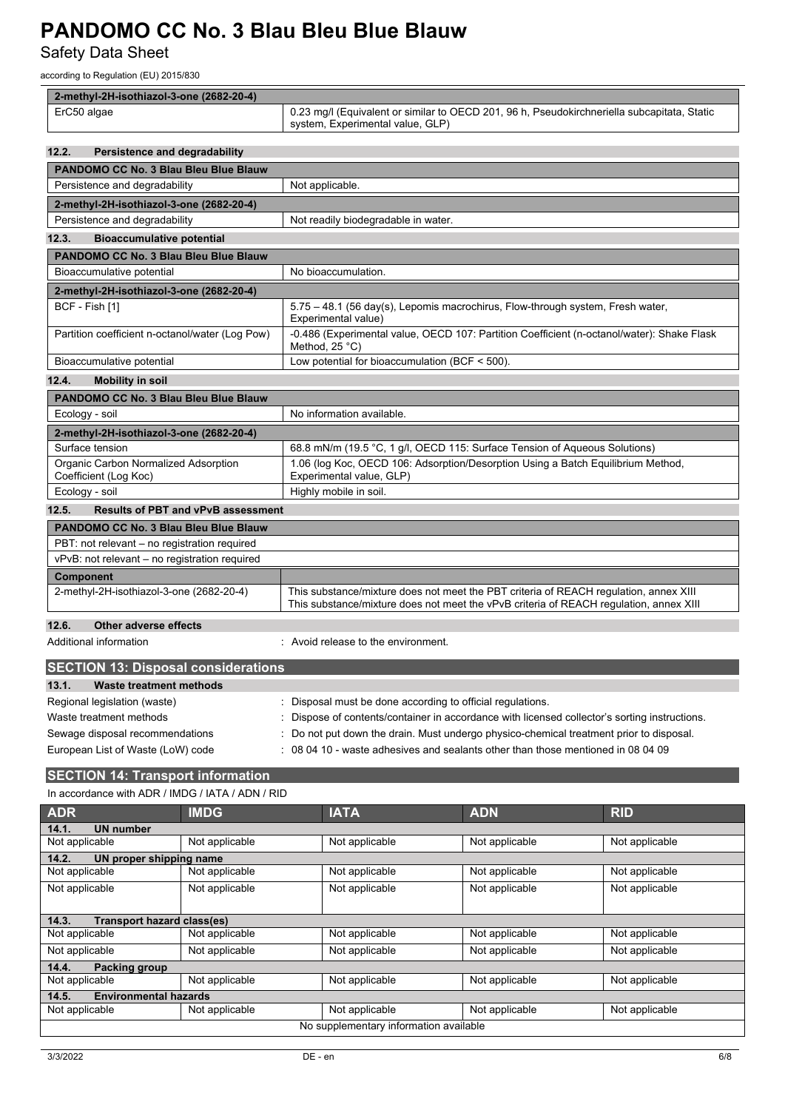Safety Data Sheet

according to Regulation (EU) 2015/830

| 2-methyl-2H-isothiazol-3-one (2682-20-4)                      |                                                                                                                                                                                 |
|---------------------------------------------------------------|---------------------------------------------------------------------------------------------------------------------------------------------------------------------------------|
| ErC50 algae                                                   | 0.23 mg/l (Equivalent or similar to OECD 201, 96 h, Pseudokirchneriella subcapitata, Static<br>system, Experimental value, GLP)                                                 |
| 12.2.<br>Persistence and degradability                        |                                                                                                                                                                                 |
| PANDOMO CC No. 3 Blau Bleu Blue Blauw                         |                                                                                                                                                                                 |
| Persistence and degradability                                 | Not applicable.                                                                                                                                                                 |
| 2-methyl-2H-isothiazol-3-one (2682-20-4)                      |                                                                                                                                                                                 |
| Persistence and degradability                                 | Not readily biodegradable in water.                                                                                                                                             |
| 12.3.<br><b>Bioaccumulative potential</b>                     |                                                                                                                                                                                 |
| PANDOMO CC No. 3 Blau Bleu Blue Blauw                         |                                                                                                                                                                                 |
| Bioaccumulative potential                                     | No bioaccumulation.                                                                                                                                                             |
| 2-methyl-2H-isothiazol-3-one (2682-20-4)                      |                                                                                                                                                                                 |
| BCF - Fish [1]                                                | 5.75 - 48.1 (56 day(s), Lepomis macrochirus, Flow-through system, Fresh water,<br>Experimental value)                                                                           |
| Partition coefficient n-octanol/water (Log Pow)               | -0.486 (Experimental value, OECD 107: Partition Coefficient (n-octanol/water): Shake Flask<br>Method, 25 °C)                                                                    |
| Bioaccumulative potential                                     | Low potential for bioaccumulation (BCF $<$ 500).                                                                                                                                |
| 12.4.<br><b>Mobility in soil</b>                              |                                                                                                                                                                                 |
| PANDOMO CC No. 3 Blau Bleu Blue Blauw                         |                                                                                                                                                                                 |
| Ecology - soil                                                | No information available.                                                                                                                                                       |
| 2-methyl-2H-isothiazol-3-one (2682-20-4)                      |                                                                                                                                                                                 |
| Surface tension                                               | 68.8 mN/m (19.5 °C, 1 g/l, OECD 115: Surface Tension of Aqueous Solutions)                                                                                                      |
| Organic Carbon Normalized Adsorption<br>Coefficient (Log Koc) | 1.06 (log Koc, OECD 106: Adsorption/Desorption Using a Batch Equilibrium Method,<br>Experimental value, GLP)                                                                    |
| Ecology - soil                                                | Highly mobile in soil.                                                                                                                                                          |
| 12.5.<br><b>Results of PBT and vPvB assessment</b>            |                                                                                                                                                                                 |
| PANDOMO CC No. 3 Blau Bleu Blue Blauw                         |                                                                                                                                                                                 |
| PBT: not relevant - no registration required                  |                                                                                                                                                                                 |
| vPvB: not relevant - no registration required                 |                                                                                                                                                                                 |
| Component                                                     |                                                                                                                                                                                 |
| 2-methyl-2H-isothiazol-3-one (2682-20-4)                      | This substance/mixture does not meet the PBT criteria of REACH regulation, annex XIII<br>This substance/mixture does not meet the vPvB criteria of REACH regulation, annex XIII |
| 12.6.<br>Other adverse effects                                |                                                                                                                                                                                 |
|                                                               |                                                                                                                                                                                 |

| <b>PLOTION TO: DISPOSUI CONSIGUIUNIS</b> |                                                                                               |  |
|------------------------------------------|-----------------------------------------------------------------------------------------------|--|
| 13.1.<br>Waste treatment methods         |                                                                                               |  |
| Regional legislation (waste)             | Disposal must be done according to official regulations.                                      |  |
| Waste treatment methods                  | : Dispose of contents/container in accordance with licensed collector's sorting instructions. |  |
| Sewage disposal recommendations          | : Do not put down the drain. Must undergo physico-chemical treatment prior to disposal.       |  |
| European List of Waste (LoW) code        | $\div$ 08 04 10 - waste adhesives and sealants other than those mentioned in 08 04 09         |  |
|                                          |                                                                                               |  |

### **SECTION 14: Transport information**

| In accordance with ADR / IMDG / IATA / ADN / RID |  |
|--------------------------------------------------|--|
|                                                  |  |

| <b>ADR</b>                             | <b>IMDG</b>    | <b>IATA</b>    | <b>ADN</b>     | <b>RID</b>     |
|----------------------------------------|----------------|----------------|----------------|----------------|
| <b>UN number</b><br>14.1.              |                |                |                |                |
| Not applicable                         | Not applicable | Not applicable | Not applicable | Not applicable |
| 14.2.<br>UN proper shipping name       |                |                |                |                |
| Not applicable                         | Not applicable | Not applicable | Not applicable | Not applicable |
| Not applicable                         | Not applicable | Not applicable | Not applicable | Not applicable |
|                                        |                |                |                |                |
| Transport hazard class(es)<br>14.3.    |                |                |                |                |
| Not applicable                         | Not applicable | Not applicable | Not applicable | Not applicable |
| Not applicable                         | Not applicable | Not applicable | Not applicable | Not applicable |
| 14.4.<br>Packing group                 |                |                |                |                |
| Not applicable                         | Not applicable | Not applicable | Not applicable | Not applicable |
| <b>Environmental hazards</b><br>14.5.  |                |                |                |                |
| Not applicable                         | Not applicable | Not applicable | Not applicable | Not applicable |
| No supplementary information available |                |                |                |                |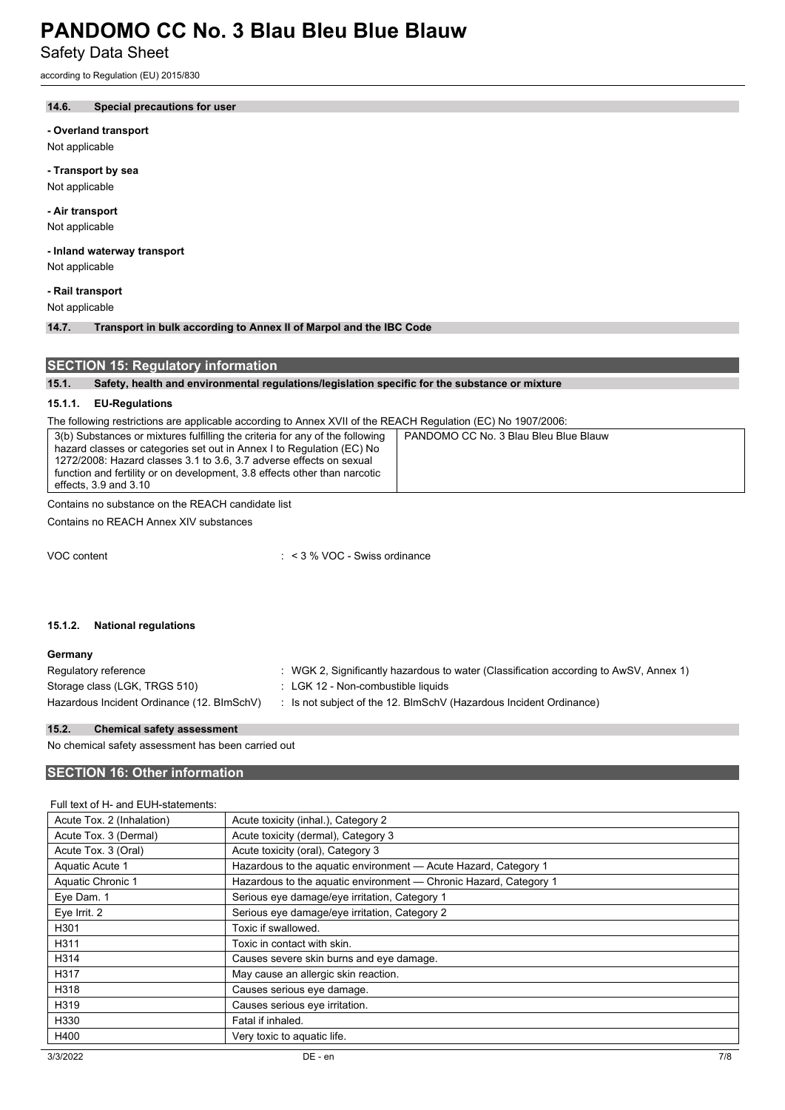Safety Data Sheet

according to Regulation (EU) 2015/830

#### **14.6. Special precautions for user**

**- Overland transport**

Not applicable

**- Transport by sea** Not applicable

### **- Air transport**

Not applicable

**- Inland waterway transport** Not applicable

### **- Rail transport**

Not applicable

#### **14.7. Transport in bulk according to Annex II of Marpol and the IBC Code**

#### **SECTION 15: Regulatory information**

#### **15.1. Safety, health and environmental regulations/legislation specific for the substance or mixture**

#### **15.1.1. EU-Regulations**

The following restrictions are applicable according to Annex XVII of the REACH Regulation (EC) No 1907/2006:

| 3(b) Substances or mixtures fulfilling the criteria for any of the following | PANDOMO CC No. 3 Blau Bleu Blue Blauw |
|------------------------------------------------------------------------------|---------------------------------------|
| hazard classes or categories set out in Annex I to Regulation (EC) No        |                                       |
| 1272/2008: Hazard classes 3.1 to 3.6, 3.7 adverse effects on sexual          |                                       |
| function and fertility or on development, 3.8 effects other than narcotic    |                                       |
| effects, 3.9 and 3.10                                                        |                                       |

Contains no substance on the REACH candidate list

Contains no REACH Annex XIV substances

VOC content : < 3 % VOC - Swiss ordinance

#### **15.1.2. National regulations**

| Germany |
|---------|
|---------|

| Regulatory reference                       | : WGK 2, Significantly hazardous to water (Classification according to AwSV, Annex 1) |
|--------------------------------------------|---------------------------------------------------------------------------------------|
| Storage class (LGK, TRGS 510)              | : LGK 12 - Non-combustible liquids                                                    |
| Hazardous Incident Ordinance (12. BImSchV) | : Is not subject of the 12. BlmSchV (Hazardous Incident Ordinance)                    |

#### **15.2. Chemical safety assessment**

No chemical safety assessment has been carried out

#### **SECTION 16: Other information**

#### Full text of H- and EUH-statements:

| Acute Tox. 2 (Inhalation) | Acute toxicity (inhal.), Category 2                               |
|---------------------------|-------------------------------------------------------------------|
| Acute Tox. 3 (Dermal)     | Acute toxicity (dermal), Category 3                               |
| Acute Tox. 3 (Oral)       | Acute toxicity (oral), Category 3                                 |
| Aquatic Acute 1           | Hazardous to the aquatic environment - Acute Hazard, Category 1   |
| Aquatic Chronic 1         | Hazardous to the aquatic environment - Chronic Hazard, Category 1 |
| Eye Dam. 1                | Serious eye damage/eye irritation, Category 1                     |
| Eve Irrit. 2              | Serious eve damage/eve irritation, Category 2                     |
| H301                      | Toxic if swallowed.                                               |
| H311                      | Toxic in contact with skin.                                       |
| H314                      | Causes severe skin burns and eye damage.                          |
| H317                      | May cause an allergic skin reaction.                              |
| H318                      | Causes serious eye damage.                                        |
| H319                      | Causes serious eye irritation.                                    |
| H330                      | Fatal if inhaled.                                                 |
| H400                      | Very toxic to aquatic life.                                       |
|                           |                                                                   |